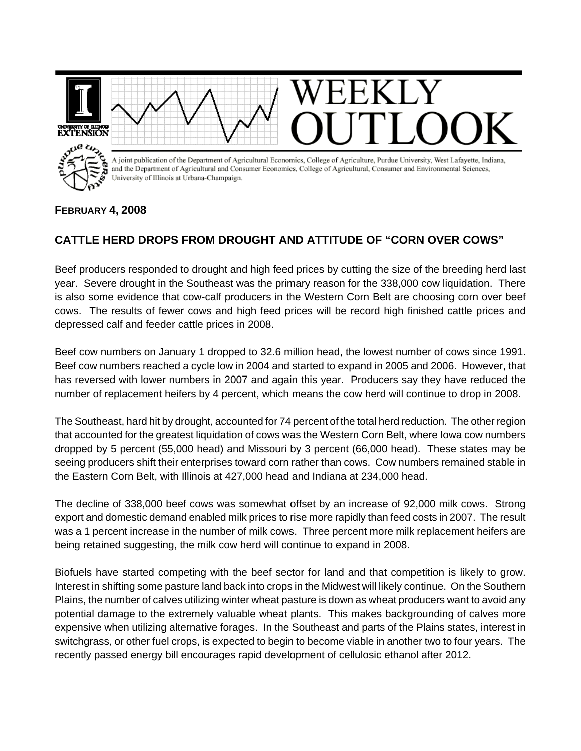

## **FEBRUARY 4, 2008**

## **CATTLE HERD DROPS FROM DROUGHT AND ATTITUDE OF "CORN OVER COWS"**

Beef producers responded to drought and high feed prices by cutting the size of the breeding herd last year. Severe drought in the Southeast was the primary reason for the 338,000 cow liquidation. There is also some evidence that cow-calf producers in the Western Corn Belt are choosing corn over beef cows. The results of fewer cows and high feed prices will be record high finished cattle prices and depressed calf and feeder cattle prices in 2008.

Beef cow numbers on January 1 dropped to 32.6 million head, the lowest number of cows since 1991. Beef cow numbers reached a cycle low in 2004 and started to expand in 2005 and 2006. However, that has reversed with lower numbers in 2007 and again this year. Producers say they have reduced the number of replacement heifers by 4 percent, which means the cow herd will continue to drop in 2008.

The Southeast, hard hit by drought, accounted for 74 percent of the total herd reduction. The other region that accounted for the greatest liquidation of cows was the Western Corn Belt, where Iowa cow numbers dropped by 5 percent (55,000 head) and Missouri by 3 percent (66,000 head). These states may be seeing producers shift their enterprises toward corn rather than cows. Cow numbers remained stable in the Eastern Corn Belt, with Illinois at 427,000 head and Indiana at 234,000 head.

The decline of 338,000 beef cows was somewhat offset by an increase of 92,000 milk cows. Strong export and domestic demand enabled milk prices to rise more rapidly than feed costs in 2007. The result was a 1 percent increase in the number of milk cows. Three percent more milk replacement heifers are being retained suggesting, the milk cow herd will continue to expand in 2008.

Biofuels have started competing with the beef sector for land and that competition is likely to grow. Interest in shifting some pasture land back into crops in the Midwest will likely continue. On the Southern Plains, the number of calves utilizing winter wheat pasture is down as wheat producers want to avoid any potential damage to the extremely valuable wheat plants. This makes backgrounding of calves more expensive when utilizing alternative forages. In the Southeast and parts of the Plains states, interest in switchgrass, or other fuel crops, is expected to begin to become viable in another two to four years. The recently passed energy bill encourages rapid development of cellulosic ethanol after 2012.